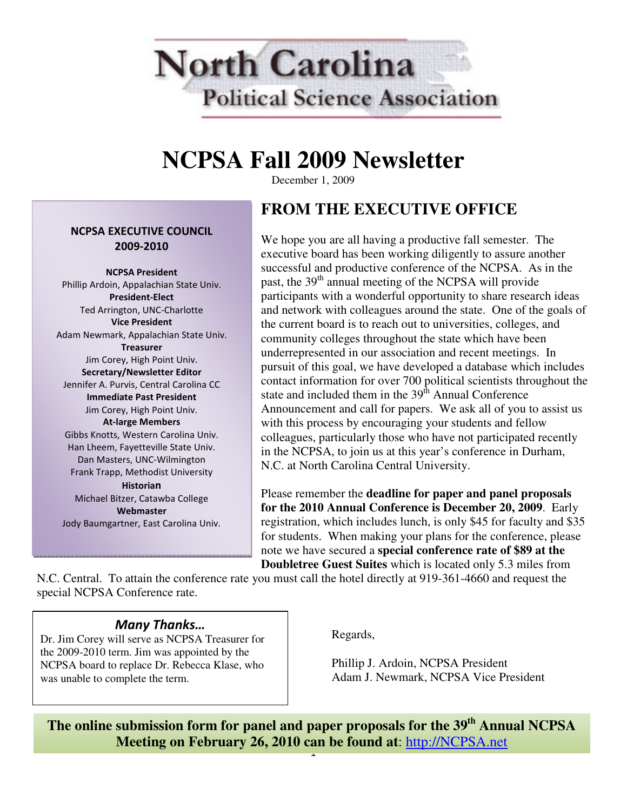

# **NCPSA Fall 2009 Newsletter**

December 1, 2009

#### NCPSA EXECUTIVE COUNCIL 2009-2010

NCPSA President Phillip Ardoin, Appalachian State Univ. President-Elect Ted Arrington, UNC-Charlotte Vice President Adam Newmark, Appalachian State Univ. **Treasurer** Jim Corey, High Point Univ. Secretary/Newsletter Editor Jennifer A. Purvis, Central Carolina CC Immediate Past President Jim Corey, High Point Univ. At-large Members Gibbs Knotts, Western Carolina Univ. Han Lheem, Fayetteville State Univ. Dan Masters, UNC-Wilmington Frank Trapp, Methodist University Historian Michael Bitzer, Catawba College Webmaster

Jody Baumgartner, East Carolina Univ.

# **FROM THE EXECUTIVE OFFICE**

We hope you are all having a productive fall semester. The executive board has been working diligently to assure another successful and productive conference of the NCPSA. As in the past, the 39<sup>th</sup> annual meeting of the NCPSA will provide participants with a wonderful opportunity to share research ideas and network with colleagues around the state. One of the goals of the current board is to reach out to universities, colleges, and community colleges throughout the state which have been underrepresented in our association and recent meetings. In pursuit of this goal, we have developed a database which includes contact information for over 700 political scientists throughout the state and included them in the  $39<sup>th</sup>$  Annual Conference Announcement and call for papers. We ask all of you to assist us with this process by encouraging your students and fellow colleagues, particularly those who have not participated recently in the NCPSA, to join us at this year's conference in Durham, N.C. at North Carolina Central University.

Please remember the **deadline for paper and panel proposals for the 2010 Annual Conference is December 20, 2009**. Early registration, which includes lunch, is only \$45 for faculty and \$35 for students. When making your plans for the conference, please note we have secured a **special conference rate of \$89 at the Doubletree Guest Suites** which is located only 5.3 miles from

N.C. Central. To attain the conference rate you must call the hotel directly at 919-361-4660 and request the special NCPSA Conference rate.

### Many Thanks…

Dr. Jim Corey will serve as NCPSA Treasurer for the 2009-2010 term. Jim was appointed by the NCPSA board to replace Dr. Rebecca Klase, who was unable to complete the term.

Regards,

Phillip J. Ardoin, NCPSA President Adam J. Newmark, NCPSA Vice President

1 **The online submission form for panel and paper proposals for the 39th Annual NCPSA Meeting on February 26, 2010 can be found at**: http://NCPSA.net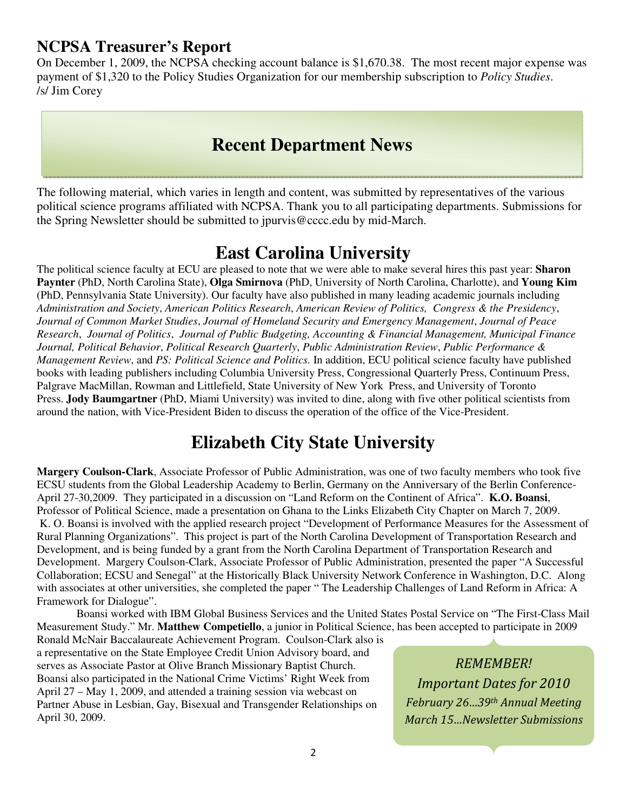### **NCPSA Treasurer's Report**

On December 1, 2009, the NCPSA checking account balance is \$1,670.38. The most recent major expense was payment of \$1,320 to the Policy Studies Organization for our membership subscription to *Policy Studies*. /s/ Jim Corey

# **Recent Department News**

The following material, which varies in length and content, was submitted by representatives of the various political science programs affiliated with NCPSA. Thank you to all participating departments. Submissions for the Spring Newsletter should be submitted to jpurvis@cccc.edu by mid-March.

# **East Carolina University**

The political science faculty at ECU are pleased to note that we were able to make several hires this past year: **Sharon Paynter** (PhD, North Carolina State), **Olga Smirnova** (PhD, University of North Carolina, Charlotte), and **Young Kim** (PhD, Pennsylvania State University). Our faculty have also published in many leading academic journals including *Administration and Society*, *American Politics Research*, *American Review of Politics, Congress & the Presidency*, *Journal of Common Market Studies*, *Journal of Homeland Security and Emergency Management*, *Journal of Peace Research*, *Journal of Politics*, *Journal of Public Budgeting, Accounting & Financial Management, Municipal Finance Journal, Political Behavior*, *Political Research Quarterly*, *Public Administration Review*, *Public Performance & Management Review*, and *PS: Political Science and Politics.* In addition, ECU political science faculty have published books with leading publishers including Columbia University Press, Congressional Quarterly Press, Continuum Press, Palgrave MacMillan, Rowman and Littlefield, State University of New York Press, and University of Toronto Press. **Jody Baumgartner** (PhD, Miami University) was invited to dine, along with five other political scientists from around the nation, with Vice-President Biden to discuss the operation of the office of the Vice-President.

# **Elizabeth City State University**

**Margery Coulson-Clark**, Associate Professor of Public Administration, was one of two faculty members who took five ECSU students from the Global Leadership Academy to Berlin, Germany on the Anniversary of the Berlin Conference-April 27-30,2009. They participated in a discussion on "Land Reform on the Continent of Africa". **K.O. Boansi**, Professor of Political Science, made a presentation on Ghana to the Links Elizabeth City Chapter on March 7, 2009. K. O. Boansi is involved with the applied research project "Development of Performance Measures for the Assessment of Rural Planning Organizations". This project is part of the North Carolina Development of Transportation Research and Development, and is being funded by a grant from the North Carolina Department of Transportation Research and Development. Margery Coulson-Clark, Associate Professor of Public Administration, presented the paper "A Successful Collaboration; ECSU and Senegal" at the Historically Black University Network Conference in Washington, D.C. Along with associates at other universities, she completed the paper " The Leadership Challenges of Land Reform in Africa: A Framework for Dialogue".

 Boansi worked with IBM Global Business Services and the United States Postal Service on "The First-Class Mail Measurement Study." Mr. **Matthew Competiello**, a junior in Political Science, has been accepted to participate in 2009

Ronald McNair Baccalaureate Achievement Program. Coulson-Clark also is a representative on the State Employee Credit Union Advisory board, and serves as Associate Pastor at Olive Branch Missionary Baptist Church. Boansi also participated in the National Crime Victims' Right Week from April 27 – May 1, 2009, and attended a training session via webcast on Partner Abuse in Lesbian, Gay, Bisexual and Transgender Relationships on April 30, 2009.

REMEMBER! Important Dates for 2010 February 26…39th Annual Meeting March 15…Newsletter Submissions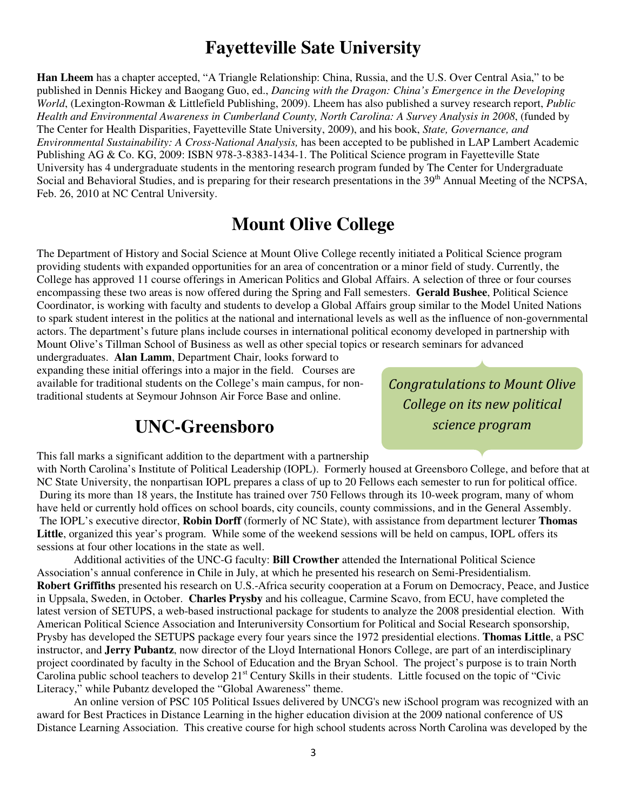# **Fayetteville Sate University**

**Han Lheem** has a chapter accepted, "A Triangle Relationship: China, Russia, and the U.S. Over Central Asia," to be published in Dennis Hickey and Baogang Guo, ed., *Dancing with the Dragon: China's Emergence in the Developing World*, (Lexington-Rowman & Littlefield Publishing, 2009). Lheem has also published a survey research report, *Public Health and Environmental Awareness in Cumberland County, North Carolina: A Survey Analysis in 2008*, (funded by The Center for Health Disparities, Fayetteville State University, 2009), and his book, *State, Governance, and Environmental Sustainability: A Cross-National Analysis,* has been accepted to be published in LAP Lambert Academic Publishing AG & Co. KG, 2009: ISBN 978-3-8383-1434-1. The Political Science program in Fayetteville State University has 4 undergraduate students in the mentoring research program funded by The Center for Undergraduate Social and Behavioral Studies, and is preparing for their research presentations in the 39<sup>th</sup> Annual Meeting of the NCPSA, Feb. 26, 2010 at NC Central University.

# **Mount Olive College**

The Department of History and Social Science at Mount Olive College recently initiated a Political Science program providing students with expanded opportunities for an area of concentration or a minor field of study. Currently, the College has approved 11 course offerings in American Politics and Global Affairs. A selection of three or four courses encompassing these two areas is now offered during the Spring and Fall semesters. **Gerald Bushee**, Political Science Coordinator, is working with faculty and students to develop a Global Affairs group similar to the Model United Nations to spark student interest in the politics at the national and international levels as well as the influence of non-governmental actors. The department's future plans include courses in international political economy developed in partnership with Mount Olive's Tillman School of Business as well as other special topics or research seminars for advanced

undergraduates. **Alan Lamm**, Department Chair, looks forward to expanding these initial offerings into a major in the field. Courses are available for traditional students on the College's main campus, for nontraditional students at Seymour Johnson Air Force Base and online.

# **UNC-Greensboro**

This fall marks a significant addition to the department with a partnership

Congratulations to Mount Olive College on its new political science program

with North Carolina's Institute of Political Leadership (IOPL). Formerly housed at Greensboro College, and before that at NC State University, the nonpartisan IOPL prepares a class of up to 20 Fellows each semester to run for political office. During its more than 18 years, the Institute has trained over 750 Fellows through its 10-week program, many of whom have held or currently hold offices on school boards, city councils, county commissions, and in the General Assembly. The IOPL's executive director, **Robin Dorff** (formerly of NC State), with assistance from department lecturer **Thomas Little**, organized this year's program. While some of the weekend sessions will be held on campus, IOPL offers its sessions at four other locations in the state as well.

Additional activities of the UNC-G faculty: **Bill Crowther** attended the International Political Science Association's annual conference in Chile in July, at which he presented his research on Semi-Presidentialism. **Robert Griffiths** presented his research on U.S.-Africa security cooperation at a Forum on Democracy, Peace, and Justice in Uppsala, Sweden, in October. **Charles Prysby** and his colleague, Carmine Scavo, from ECU, have completed the latest version of SETUPS, a web-based instructional package for students to analyze the 2008 presidential election. With American Political Science Association and Interuniversity Consortium for Political and Social Research sponsorship, Prysby has developed the SETUPS package every four years since the 1972 presidential elections. **Thomas Little**, a PSC instructor, and **Jerry Pubantz**, now director of the Lloyd International Honors College, are part of an interdisciplinary project coordinated by faculty in the School of Education and the Bryan School. The project's purpose is to train North Carolina public school teachers to develop 21<sup>st</sup> Century Skills in their students. Little focused on the topic of "Civic Literacy," while Pubantz developed the "Global Awareness" theme.

An online version of PSC 105 Political Issues delivered by UNCG's new iSchool program was recognized with an award for Best Practices in Distance Learning in the higher education division at the 2009 national conference of US Distance Learning Association. This creative course for high school students across North Carolina was developed by the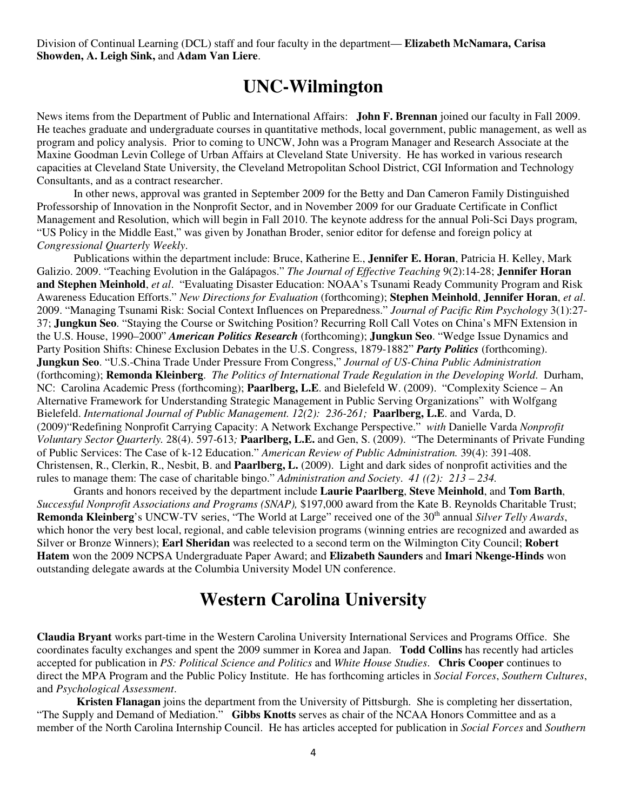Division of Continual Learning (DCL) staff and four faculty in the department— **Elizabeth McNamara, Carisa Showden, A. Leigh Sink,** and **Adam Van Liere**.

### **UNC-Wilmington**

News items from the Department of Public and International Affairs: **John F. Brennan** joined our faculty in Fall 2009. He teaches graduate and undergraduate courses in quantitative methods, local government, public management, as well as program and policy analysis. Prior to coming to UNCW, John was a Program Manager and Research Associate at the Maxine Goodman Levin College of Urban Affairs at Cleveland State University. He has worked in various research capacities at Cleveland State University, the Cleveland Metropolitan School District, CGI Information and Technology Consultants, and as a contract researcher.

In other news, approval was granted in September 2009 for the Betty and Dan Cameron Family Distinguished Professorship of Innovation in the Nonprofit Sector, and in November 2009 for our Graduate Certificate in Conflict Management and Resolution, which will begin in Fall 2010. The keynote address for the annual Poli-Sci Days program, "US Policy in the Middle East," was given by Jonathan Broder, senior editor for defense and foreign policy at *Congressional Quarterly Weekly*.

Publications within the department include: Bruce, Katherine E., **Jennifer E. Horan**, Patricia H. Kelley, Mark Galizio. 2009. "Teaching Evolution in the Galápagos." *The Journal of Effective Teaching* 9(2):14-28; **Jennifer Horan and Stephen Meinhold**, *et al*. "Evaluating Disaster Education: NOAA's Tsunami Ready Community Program and Risk Awareness Education Efforts." *New Directions for Evaluation* (forthcoming); **Stephen Meinhold**, **Jennifer Horan**, *et al*. 2009. "Managing Tsunami Risk: Social Context Influences on Preparedness." *Journal of Pacific Rim Psychology* 3(1):27- 37; **Jungkun Seo**. "Staying the Course or Switching Position? Recurring Roll Call Votes on China's MFN Extension in the U.S. House, 1990–2000" *American Politics Research* (forthcoming); **Jungkun Seo**. "Wedge Issue Dynamics and Party Position Shifts: Chinese Exclusion Debates in the U.S. Congress, 1879-1882" *Party Politics* (forthcoming). **Jungkun Seo**. "U.S.-China Trade Under Pressure From Congress," *Journal of US-China Public Administration* (forthcoming); **Remonda Kleinberg**. *The Politics of International Trade Regulation in the Developing World*. Durham, NC: Carolina Academic Press (forthcoming); **Paarlberg, L.E**. and Bielefeld W. (2009). "Complexity Science – An Alternative Framework for Understanding Strategic Management in Public Serving Organizations" with Wolfgang Bielefeld. *International Journal of Public Management. 12(2): 236-261;* **Paarlberg, L.E**. and Varda, D. (2009)"Redefining Nonprofit Carrying Capacity: A Network Exchange Perspective." *with* Danielle Varda *Nonprofit Voluntary Sector Quarterly.* 28(4). 597-613*;* **Paarlberg, L.E.** and Gen, S. (2009). "The Determinants of Private Funding of Public Services: The Case of k-12 Education." *American Review of Public Administration.* 39(4): 391-408. Christensen, R., Clerkin, R., Nesbit, B. and **Paarlberg, L.** (2009). Light and dark sides of nonprofit activities and the rules to manage them: The case of charitable bingo." *Administration and Society*. *41 ((2): 213 – 234.* 

Grants and honors received by the department include **Laurie Paarlberg**, **Steve Meinhold**, and **Tom Barth**, *Successful Nonprofit Associations and Programs (SNAP),* \$197,000 award from the Kate B. Reynolds Charitable Trust; **Remonda Kleinberg**'s UNCW-TV series, "The World at Large" received one of the 30<sup>th</sup> annual *Silver Telly Awards*, which honor the very best local, regional, and cable television programs (winning entries are recognized and awarded as Silver or Bronze Winners); **Earl Sheridan** was reelected to a second term on the Wilmington City Council; **Robert Hatem** won the 2009 NCPSA Undergraduate Paper Award; and **Elizabeth Saunders** and **Imari Nkenge-Hinds** won outstanding delegate awards at the Columbia University Model UN conference.

## **Western Carolina University**

**Claudia Bryant** works part-time in the Western Carolina University International Services and Programs Office. She coordinates faculty exchanges and spent the 2009 summer in Korea and Japan. **Todd Collins** has recently had articles accepted for publication in *PS: Political Science and Politics* and *White House Studies*. **Chris Cooper** continues to direct the MPA Program and the Public Policy Institute. He has forthcoming articles in *Social Forces*, *Southern Cultures*, and *Psychological Assessment*.

**Kristen Flanagan** joins the department from the University of Pittsburgh. She is completing her dissertation, "The Supply and Demand of Mediation." **Gibbs Knotts** serves as chair of the NCAA Honors Committee and as a member of the North Carolina Internship Council. He has articles accepted for publication in *Social Forces* and *Southern*